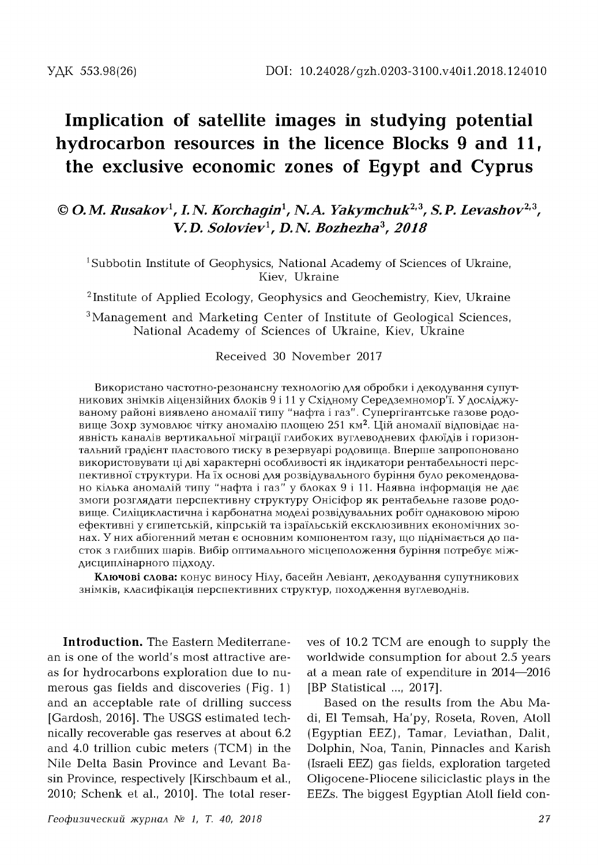## **Implication of satellite images in studying potential hydrocarbon resources in the licence Blocks 9 and 11, the exclusive economic zones of Egypt and Cyprus**

## **©** *O.M. Rusakov***1,** *I.N. Korchagin***1,** *N.A. Yakymchuk***2,3,** *S.P. Levashov***2,3, V.D.** *Soloviev***1,** *D.N. Bozhezha***3,** *2018*

<sup>1</sup>Subbotin Institute of Geophysics, National Academy of Sciences of Ukraine, Kiev, Ukraine

<sup>2</sup> Institute of Applied Ecology, Geophysics and Geochemistry, Kiev, Ukraine

<sup>3</sup> Management and Marketing Center of Institute of Geological Sciences, National Academy of Sciences of Ukraine, Kiev, Ukraine

Received 30 November 2017

Використано частотно-резонансну технологію для обробки і декодування супутникових знімків ліцензійних блоків 9 і 11 у Східному Середземномор'ї. У досліджуваному районі виявлено аномалії типу "нафта і газ". Супергігантське газове родовище Зохр зумовлює чітку аномалію площею 251 км2. Цій аномалії відповідає наявність каналів вертикальної міграції глибоких вуглеводневих флюїдів і горизонтальний градієнт пластового тиску в резервуарі родовища. Вперше запропоновано використовувати ці дві характерні особливості як індикатори рентабельності перспективної структури. На їх основі для розвідувального буріння було рекомендовано кілька аномалій типу " нафта і газ" у блоках 9 і 11. Наявна інформація не дає змоги розглядати перспективну структуру Онісіфор як рентабельне газове родовище. Силіцикластична і карбонатна моделі розвідувальних робіт однаковою мірою ефективні у єгипетській, кіпрській та ізраїльській ексклюзивних економічних зонах. У них абіогенний метан є основним компонентом газу, що піднімається до пасток з глибших шарів. Вибір оптимального місцеположення буріння потребує міждисциплінарного підходу.

**Ключові слова:** конус виносу Нілу, басейн Левіант, декодування супутникових знімків, класифікація перспективних структур, походження вуглеводнів.

**Introduction.** The Eastern Mediterranean is one of the world's most attractive areas for hydrocarbons exploration due to numerous gas fields and discoveries (Fig. 1) and an acceptable rate of drilling success [Gardosh, 2016]. The USGS estimated technically recoverable gas reserves at about 6.2 and  $4.0$  trillion cubic meters  $(TCM)$  in the Nile Delta Basin Province and Levant Basin Province, respectively [Kirschbaum et al., 2010; Schenk et al., 2010]. The total reserves of 10.2 TCM are enough to supply the worldwide consumption for about 2.5 years at a mean rate of expenditure in 2014—2016 [BP Statistical ..., 2017].

Based on the results from the Abu Madi, El Temsah, Ha'py, Roseta, Roven, Atoll (Egyptian EEZ), Tamar, Leviathan, Dalit, Dolphin, Noa, Tanin, Pinnacles and Karish (Israeli EEZ) gas fields, exploration targeted Oligocene-Pliocene siliciclastic plays in the EEZs. The biggest Egyptian Atoll field con-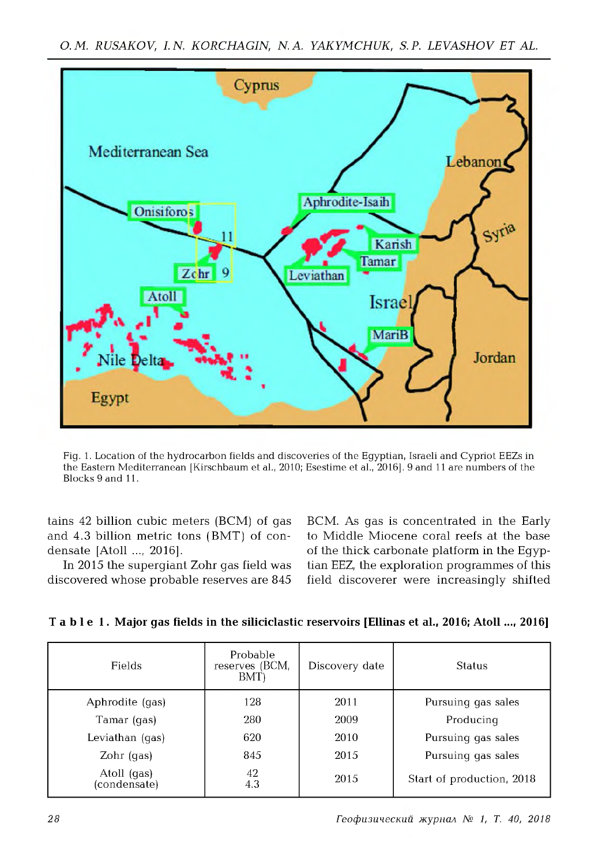

Fig. 1. Location of the hydrocarbon fields and discoveries of the Egyptian, Israeli and Cypriot EEZs in the Eastern Mediterranean [Kirschbaum et al., 2010; Esestime et al., 2016]. 9 and 11 are numbers of the Blocks 9 and 11.

tains 42 billion cubic meters (BCM) of gas and  $4.3$  billion metric tons (BMT) of condensate [Atoll ..., 2016].

In 2015 the supergiant Zohr gas field was discovered whose probable reserves are 845 BCM. As gas is concentrated in the Early to Middle Miocene coral reefs at the base of the thick carbonate platform in the Egyptian EEZ, the exploration programmes of this field discoverer were increasingly shifted

| Fields                      | Probable<br>reserves (BCM,<br>BMT) | Discovery date | <b>Status</b>             |
|-----------------------------|------------------------------------|----------------|---------------------------|
| Aphrodite (gas)             | 128                                | 2011           | Pursuing gas sales        |
| Tamar (gas)                 | 280                                | 2009           | Producing                 |
| Leviathan (qas)             | 620                                | 2010           | Pursuing gas sales        |
| Zohr (gas)                  | 845                                | 2015           | Pursuing gas sales        |
| Atoll (gas)<br>(condensate) | 42<br>4.3                          | 2015           | Start of production, 2018 |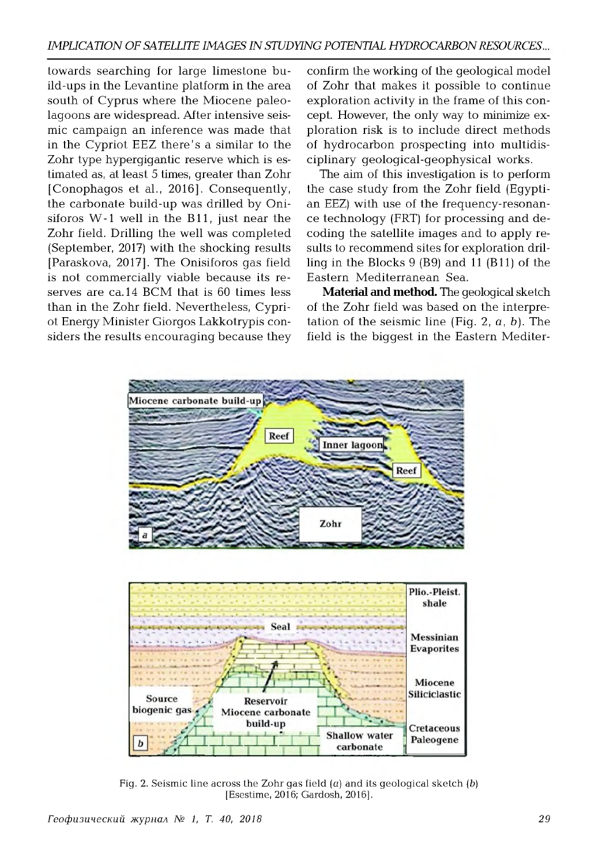towards searching for large limestone build-ups in the Levantine platform in the area south of Cyprus where the Miocene paleolagoons are widespread. After intensive seismic campaign an inference was made that in the Cypriot EEZ there's a similar to the Zohr type hypergigantic reserve which is estimated as, at least 5 times, greater than Zohr [Conophagos et al., 2016]. Consequently, the carbonate build-up was drilled by Onisiforos W -1 well in the B11, just near the Zohr field. Drilling the well was completed (September, 2017) with the shocking results [Paraskova, 2017]. The Onisiforos gas field is not commercially viable because its reserves are ca.14 BCM that is 60 times less than in the Zohr field. Nevertheless, Cypriot Energy Minister Giorgos Lakkotrypis considers the results encouraging because they

confirm the working of the geological model of Zohr that makes it possible to continue exploration activity in the frame of this concept. However, the only way to minimize exploration risk is to include direct methods of hydrocarbon prospecting into multidisciplinary geological-geophysical works.

The aim of this investigation is to perform the case study from the Zohr field (Egyptian EEZ) with use of the frequency-resonance technology (FRT) for processing and decoding the satellite im ages and to apply results to recommend sites for exploration drilling in the Blocks 9 (B9) and 11 (B11) of the Eastern Mediterranean Sea.

**Material and method.** The geological sketch of the Zohr field was based on the interpretation of the seismic line (Fig.  $2, \alpha, b$ ). The field is the biggest in the Eastern Mediter-



Fig. 2. Seismic line across the Zohr gas field  $(a)$  and its geological sketch  $(b)$ [Esestime, 2016; Gardosh, 2016].

*reo\$u3unecKuü MypnaA № 1, T. 40, 2018 29*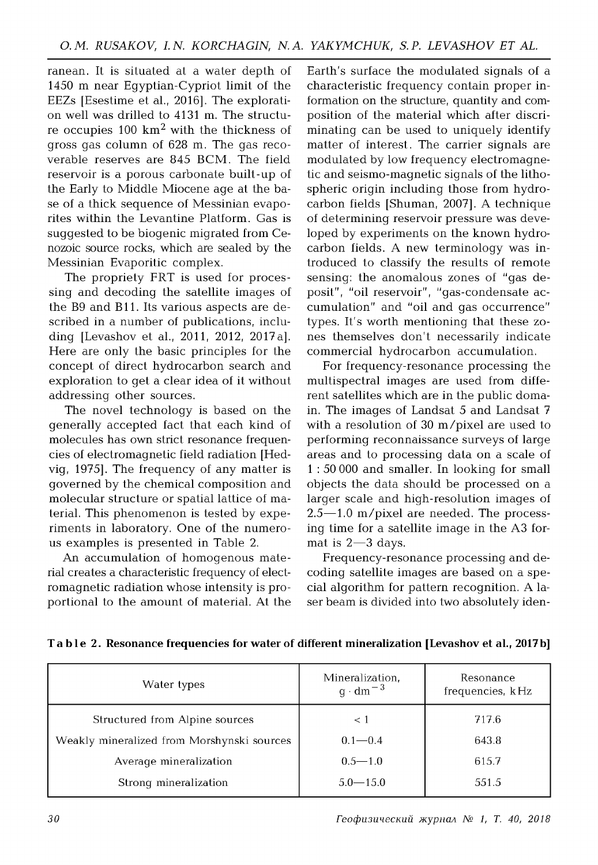ranean. It is situated at a water depth of 1450 m near Egyptian-Cypriot limit of the EEZs [Esestime et al., 2016]. The exploration well was drilled to 4131 m. The structure occupies  $100 \text{ km}^2$  with the thickness of gross gas column of 628 m. The gas recoverable reserves are 845 BCM . The field reservoir is a porous carbonate built-up of the Early to Middle Miocene age at the base of a thick sequence of Messinian evaporites within the Levantine Platform. Gas is suggested to be biogenic migrated from Cenozoic source rocks, which are sealed by the Messinian Evaporitic complex.

The propriety FRT is used for processing and decoding the satellite im ages of the B9 and B11. Its various aspects are described in a number of publications, including [Levashov et al., 2011, 2012, 2017a]. Here are only the basic principles for the concept of direct hydrocarbon search and exploration to get a clear idea of it without addressing other sources.

The novel technology is based on the generally accepted fact that each kind of molecules has own strict resonance frequencies of electrom agnetic field radiation [Hedvig, 1975]. The frequency of any matter is governed by the chemical composition and molecular structure or spatial lattice of material. This phenomenon is tested by experiments in laboratory. One of the numerous examples is presented in Table 2.

An accumulation of homogenous material creates a characteristic frequency of electromagnetic radiation whose intensity is proportional to the amount of material. At the Earth's surface the modulated signals of a characteristic frequency contain proper information on the structure, quantity and composition of the material which after discriminating can be used to uniquely identify matter of interest. The carrier signals are modulated by low frequency electromagnetic and seismo-magnetic signals of the lithospheric origin including those from hydrocarbon fields [Shuman, 2007]. A technique of determining reservoir pressure was developed by experiments on the known hydrocarbon fields. A new terminology was introduced to classify the results of remote sensing: the anomalous zones of "gas deposit", "oil reservoir", "gas-condensate accum ulation" and "oil and gas occurrence" types. It's worth mentioning that these zones themselves don't necessarily indicate commercial hydrocarbon accumulation.

For frequency-resonance processing the multispectral images are used from different satellites which are in the public domain. The images of Landsat 5 and Landsat 7 with a resolution of 30 m/pixel are used to performing reconnaissance surveys of large areas and to processing data on a scale of 1 : 50 000 and smaller. In looking for small objects the data should be processed on a larger scale and high-resolution images of  $2.5 - 1.0$  m/pixel are needed. The processing time for a satellite image in the A3 format is  $2 - 3$  days.

Frequency-resonance processing and decoding satellite images are based on a special algorithm for pattern recognition. A laser beam is divided into two absolutely iden-

| Water types                                | Mineralization,<br>$q \cdot dm^{-3}$ | Resonance<br>frequencies, kHz |
|--------------------------------------------|--------------------------------------|-------------------------------|
| Structured from Alpine sources             | $\leq 1$                             | 717.6                         |
| Weakly mineralized from Morshynski sources | $0.1 - 0.4$                          | 643.8                         |
| Average mineralization                     | $0.5 - 1.0$                          | 615.7                         |
| Strong mineralization                      | $5.0 - 15.0$                         | 551.5                         |

**T a b l e 2. Resonance frequencies for water of different mineralization [Levashov et al., 2017b]**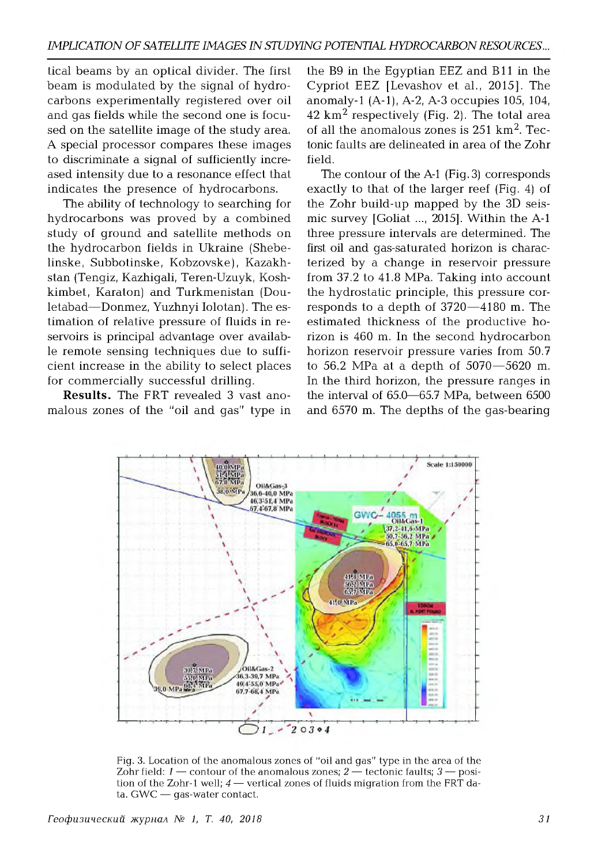tical beams by an optical divider. The first beam is modulated by the signal of hydrocarbons experimentally registered over oil and gas fields while the second one is focused on the satellite image of the study area. A special processor compares these images to discriminate a signal of sufficiently increased intensity due to a resonance effect that indicates the presence of hydrocarbons.

The ability of technology to searching for hydrocarbons was proved by a combined study of ground and satellite methods on the hydrocarbon fields in Ukraine (Shebelinske, Subbotinske, Kobzovske), Kazakhstan (Tengiz, Kazhigali, Teren-Uzuyk, Koshkimbet, Karaton) and Turkmenistan (Douletabad—Donmez, Yuzhnyi Iolotan). The estim ation of relative pressure of fluids in reservoirs is principal advantage over available remote sensing techniques due to sufficient increase in the ability to select places for commercially successful drilling.

**Results.** The FRT revealed 3 vast anomalous zones of the "oil and gas" type in

the B9 in the Egyptian EEZ and B11 in the Cypriot EEZ [Levashov et al., 2015]. The anomaly-1 (A-1), A-2, A-3 occupies 105, 104,  $42 \mathrm{km}^2$  respectively (Fig. 2). The total area of all the anomalous zones is  $251 \text{ km}^2$ . Tectonic faults are delineated in area of the Zohr field.

The contour of the A-1 (Fig. 3) corresponds exactly to that of the larger reef (Fig. 4) of the Zohr build-up mapped by the 3D seismic survey [Goliat ..., 2015]. Within the A-1 three pressure intervals are determined. The first oil and gas-saturated horizon is characterized by a change in reservoir pressure from 37.2 to 41.8 MPa. Taking into account the hydrostatic principle, this pressure corresponds to a depth of 3720—4180 m. The estim ated thickness of the productive horizon is 460 m. In the second hydrocarbon horizon reservoir pressure varies from 50.7 to  $56.2$  MPa at a depth of  $5070 - 5620$  m. In the third horizon, the pressure ranges in the interval of  $65.0-65.7$  MPa, between  $6500$ and 6570 m. The depths of the gas-bearing



Fig. 3. Location of the anomalous zones of "oil and gas" type in the area of the Zohr field:  $1$  — contour of the anomalous zones;  $2$  — tectonic faults;  $3$  — position of the Zohr-1 well;  $4$  — vertical zones of fluids migration from the FRT data. GWC — gas-water contact.

 $Fe$ офизический журнал № 1, Т. 40, 2018 **1996 31**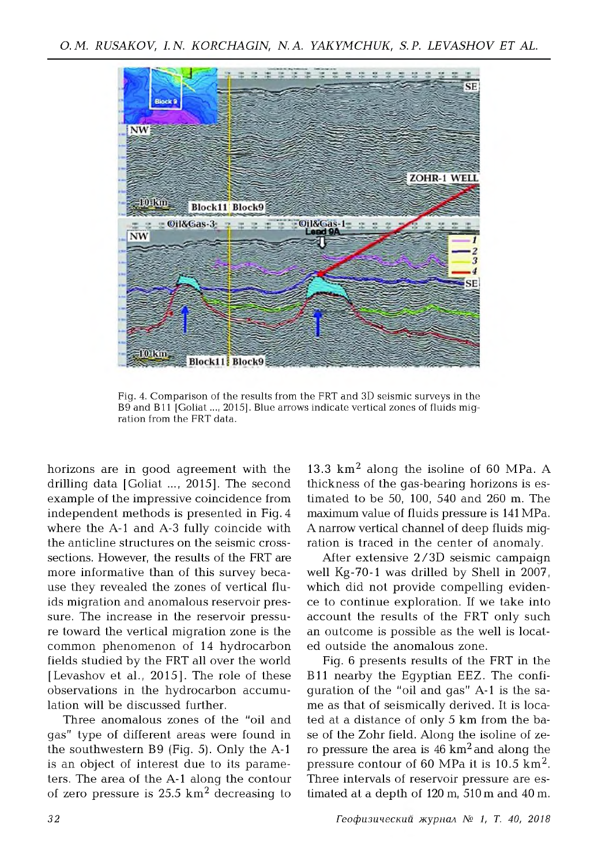

Fig. 4. Comparison of the results from the FRT and 3D seismic surveys in the B9 and B11 [Goliat ..., 2015]. Blue arrows indicate vertical zones of fluids migration from the FRT data.

horizons are in good agreement with the drilling data [Goliat ..., 2015]. The second example of the impressive coincidence from independent methods is presented in Fig. 4 where the A-1 and A-3 fully coincide with the anticline structures on the seismic crosssections. However, the results of the FRT are more informative than of this survey because they revealed the zones of vertical fluids migration and anomalous reservoir pressure. The increase in the reservoir pressure toward the vertical migration zone is the common phenomenon of 14 hydrocarbon fields studied by the FRT all over the world [Levashov et al., 2015]. The role of these observations in the hydrocarbon accumulation will be discussed further.

Three anomalous zones of the "oil and gas" type of different areas were found in the southwestern  $B9$  (Fig. 5). Only the A-1 is an object of interest due to its parameters. The area of the A-1 along the contour of zero pressure is  $25.5 \text{ km}^2$  decreasing to

13.3  $km^2$  along the isoline of 60 MPa. A thickness of the gas-bearing horizons is estim ated to be 50, 100, 540 and 260 m. The maximum value of fluids pressure is 141 MPa. A narrow vertical channel of deep fluids migration is traced in the center of anomaly.

After extensive 2/3D seismic campaign well Kg-70-1 was drilled by Shell in 2007, which did not provide compelling evidence to continue exploration. If we take into account the results of the FRT only such an outcome is possible as the well is located outside the anomalous zone.

Fig. 6 presents results of the FRT in the B11 nearby the Egyptian EEZ. The confiquration of the "oil and qas" A-1 is the same as that of seismically derived. It is located at a distance of only 5 km from the base of the Zohr field. Along the isoline of zero pressure the area is  $46 \text{ km}^2$  and along the pressure contour of 60 MPa it is  $10.5 \text{ km}^2$ . Three intervals of reservoir pressure are estimated at a depth of 120 m, 510 m and 40 m.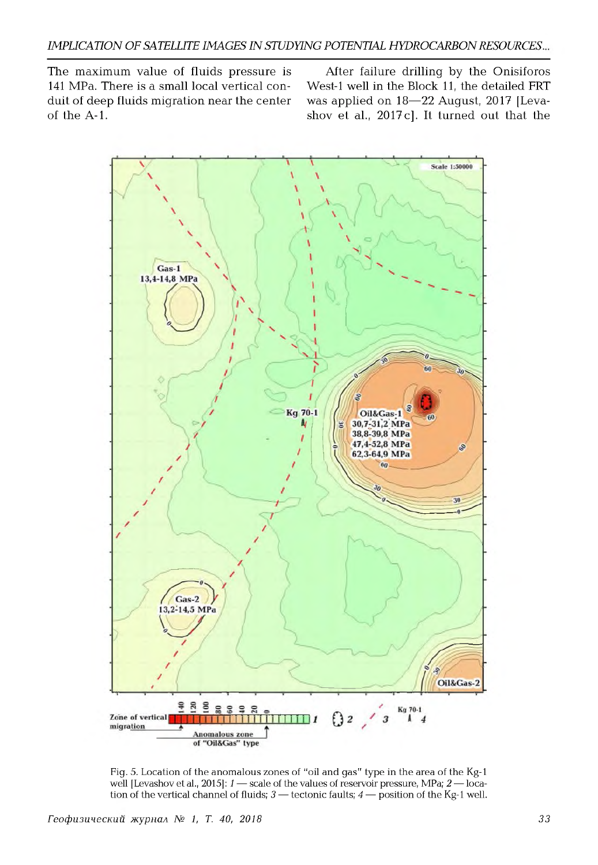The maximum value of fluids pressure is 141 MPa. There is a small local vertical conduit of deep fluids migration near the center of the A-1.

After failure drilling by the Onisiforos West-1 well in the Block 11, the detailed FRT was applied on 18—22 August, 2017 [Levashov et al., 2017c]. It turned out that the



Fig. 5. Location of the anomalous zones of "oil and gas" type in the area of the Kg-1 well [Levashov et al., 2015]: *1* — scale of the values of reservoir pressure, MPa; *2* — location of the vertical channel of fluids;  $3$  — tectonic faults;  $4$  — position of the Kg-1 well.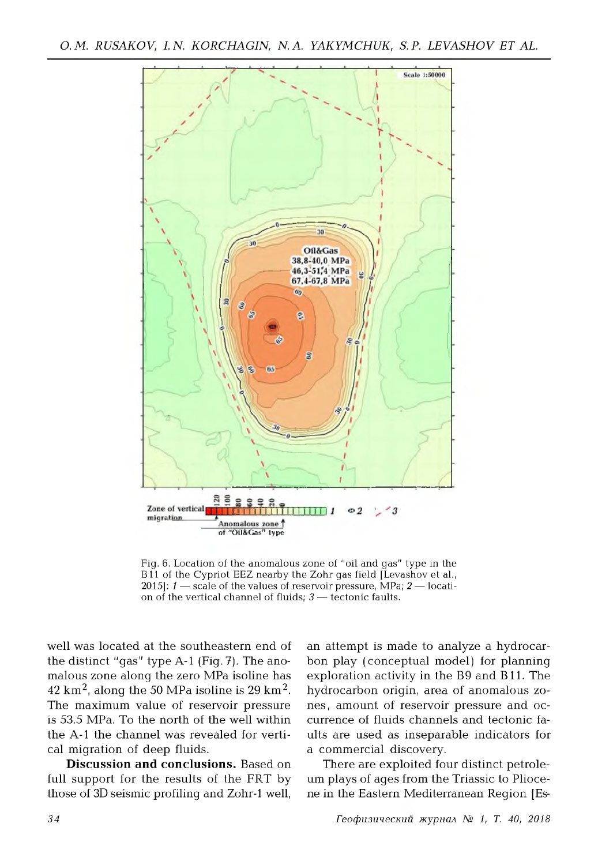

Fig. 6. Location of the anomalous zone of "oil and gas" type in the B11 of the Cypriot EEZ nearby the Zohr gas field [Levashov et al., 2015]: *1* — scale of the values of reservoir pressure, MPa; *2* — location of the vertical channel of fluids; *3* — tectonic faults.

well was located at the southeastern end of the distinct "gas" type A-1 (Fig. 7). The anomalous zone along the zero MPa isoline has  $42 \text{ km}^2$ , along the 50 MPa isoline is 29 km<sup>2</sup>. The maximum value of reservoir pressure is 53.5 MPa. To the north of the well within the A-1 the channel was revealed for vertical migration of deep fluids.

**Discussion and conclusions.** Based on full support for the results of the FRT by those of 3D seismic profiling and Zohr-1 well,

an attempt is made to analyze a hydrocarbon play (conceptual model) for planning exploration activity in the B9 and B11. The hydrocarbon origin, area of anomalous zones, amount of reservoir pressure and occurrence of fluids channels and tectonic faults are used as inseparable indicators for a commercial discovery.

There are exploited four distinct petroleum plays of ages from the Triassic to Pliocene in the Eastern Mediterranean Region [Es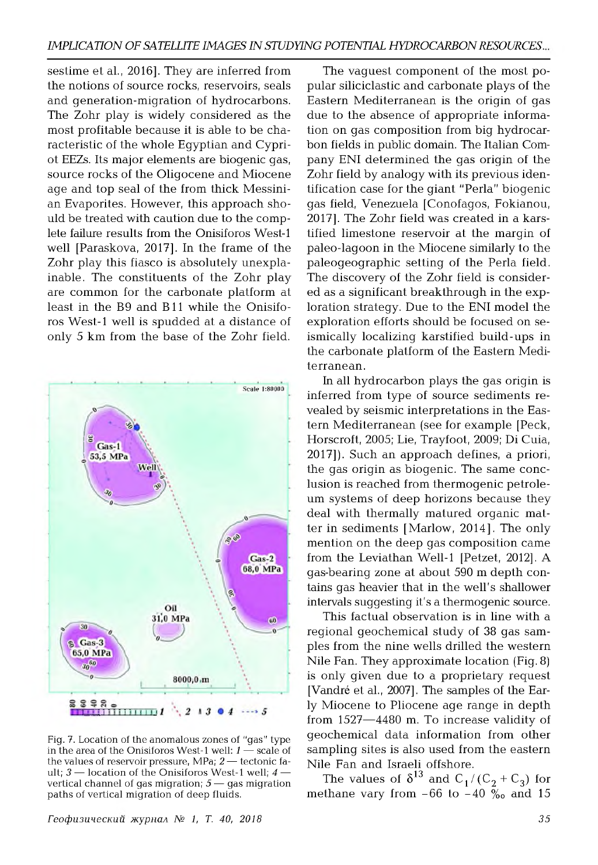sestime et al., 2016]. They are inferred from the notions of source rocks, reservoirs, seals and generation-migration of hydrocarbons. The Zohr play is widely considered as the most profitable because it is able to be characteristic of the whole Eqyptian and Cypriot EEZs. Its major elements are biogenic gas, source rocks of the Oligocene and Miocene age and top seal of the from thick Messinian Evaporites. However, this approach should be treated with caution due to the complete failure results from the Onisiforos West-1 well [Paraskova, 2017]. In the frame of the Zohr play this fiasco is absolutely unexplainable. The constituents of the Zohr play are common for the carbonate platform at least in the B9 and B11 while the Onisiforos West-1 well is spudded at a distance of only 5 km from the base of the Zohr field.



Fig. 7. Location of the anomalous zones of "gas" type in the area of the Onisiforos West-1 well: *1* — scale of the values of reservoir pressure, MPa; *2* — tectonic fault; *3* — location of the Onisiforos West-1 well; *4* vertical channel of gas migration; 5 — gas migration paths of vertical migration of deep fluids.

 $Fe$ офизический журнал № 1, Т. 40, 2018 **1996 35** 

The vaguest component of the most popular siliciclastic and carbonate plays of the Eastern Mediterranean is the origin of gas due to the absence of appropriate information on gas composition from big hydrocarbon fields in public domain. The Italian Company ENI determined the gas origin of the Zohr field by analogy with its previous identification case for the giant "Perla" biogenic gas field, Venezuela [Conofagos, Fokianou, 2017]. The Zohr field was created in a karstified limestone reservoir at the margin of paleo-lagoon in the Miocene similarly to the paleogeographic setting of the Perla field. The discovery of the Zohr field is considered as a significant breakthrough in the exploration strategy. Due to the ENI model the exploration efforts should be focused on seismically localizing karstified build-ups in the carbonate platform of the Eastern Mediterranean.

In all hydrocarbon plays the gas origin is inferred from type of source sediments revealed by seismic interpretations in the Eastern Mediterranean (see for example [Peck, Horscroft, 2005; Lie, Trayfoot, 2009; Di Cuia, 2017]). Such an approach defines, a priori, the gas origin as biogenic. The same conclusion is reached from thermogenic petroleum systems of deep horizons because they deal with thermally matured organic matter in sediments [Marlow, 2014]. The only mention on the deep gas composition came from the Leviathan Well-1 [Petzet, 2012]. A gas-bearing zone at about 590 m depth contains gas heavier that in the well's shallower intervals suggesting it's a thermogenic source.

This factual observation is in line with a regional geochemical study of 38 gas samples from the nine wells drilled the western Nile Fan. They approximate location (Fig. 8) is only given due to a proprietary request [Vandre et al., 2007]. The samples of the Early Miocene to Pliocene age range in depth from 1527—4480 m. To increase validity of geochemical data information from other sampling sites is also used from the eastern Nile Fan and Israeli offshore.

The values of  $\delta^{13}$  and  $C_1 / (C_2 + C_3)$  for methane vary from -66 to -40  $\%$ <sub>o</sub> and 15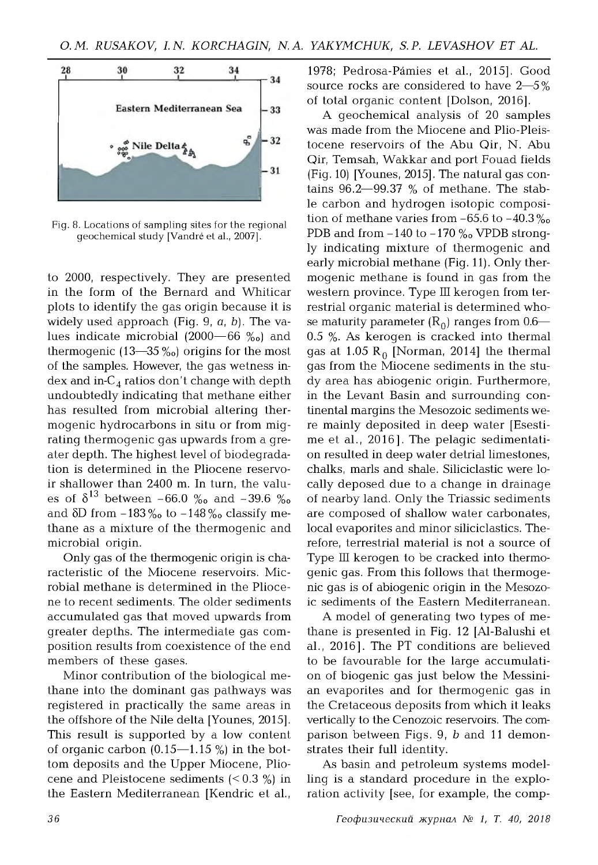

Fig. 8. Locations of sampling sites for the regional geochemical study [Vandre et al., 2007].

to 2000, respectively. They are presented in the form of the Bernard and Whiticar plots to identify the gas origin because it is widely used approach (Fig. 9, *a,* b). The values indicate microbial  $(2000 - 66 \degree)$  and thermogenic  $(13-35\%_0)$  origins for the most of the samples. However, the gas wetness index and in- $C_4$  ratios don't change with depth undoubtedly indicating that methane either has resulted from microbial altering thermogenic hydrocarbons in situ or from migrating thermogenic gas upwards from a greater depth. The highest level of biodegradation is determined in the Pliocene reservoir shallower than 2400 m. In turn, the values of  $\delta^{13}$  between -66.0 ‰ and -39.6 ‰ and  $\delta$ D from  $-183\%$  to  $-148\%$  classify methane as a mixture of the thermogenic and microbial origin.

Only gas of the thermogenic origin is characteristic of the Miocene reservoirs. Microbial methane is determined in the Pliocene to recent sediments. The older sediments accumulated gas that moved upwards from greater depths. The intermediate gas composition results from coexistence of the end members of these gases.

Minor contribution of the biological methane into the dominant gas pathways was registered in practically the same areas in the offshore of the Nile delta [Younes, 2015]. This result is supported by a low content of organic carbon  $(0.15-1.15\%)$  in the bottom deposits and the Upper Miocene, Pliocene and Pleistocene sediments  $(< 0.3 \%)$  in the Eastern Mediterranean [Kendric et al.,

1978; Pedrosa-Pámies et al., 2015]. Good source rocks are considered to have  $2\rightarrow 5\%$ of total organic content [Dolson, 2016].

A geochemical analysis of 20 samples was made from the Miocene and Plio-Pleistocene reservoirs of the Abu Qir, N. Abu Qir, Temsah, Wakkar and port Fouad fields (Fig. 10) [Younes, 2015]. The natural gas contains  $96.2 - 99.37$  % of methane. The stable carbon and hydrogen isotopic composition of methane varies from  $-65.6$  to  $-40.3\%$ PDB and from  $-140$  to  $-170\%$  VPDB strongly indicating mixture of thermogenic and early microbial methane (Fig. 11). Only thermogenic methane is found in gas from the western province. Type III kerogen from terrestrial organic material is determined whose maturity parameter  $(R_0)$  ranges from 0.6—  $0.5$  %. As kerogen is cracked into thermal gas at  $1.05 R_0$  [Norman, 2014] the thermal gas from the Miocene sediments in the study area has abiogenic origin. Furthermore, in the Levant Basin and surrounding continental margins the Mesozoic sediments were mainly deposited in deep water [Esestime et al., 2016]. The pelagic sedimentation resulted in deep water detrial limestones, chalks, marls and shale. Siliciclastic were locally deposed due to a change in drainage of nearby land. Only the Triassic sediments are composed of shallow water carbonates, local evaporites and minor siliciclastics. Therefore, terrestrial material is not a source of Type III kerogen to be cracked into thermogenic gas. From this follows that thermogenic gas is of abiogenic origin in the Mesozoic sediments of the Eastern Mediterranean.

A model of generating two types of methane is presented in Fig. 12 [Al-Balushi et al., 2016]. The PT conditions are believed to be favourable for the large accumulation of biogenic gas just below the Messinian evaporites and for thermogenic gas in the Cretaceous deposits from which it leaks vertically to the Cenozoic reservoirs. The comparison between Figs. 9, *b* and 11 demonstrates their full identity.

As basin and petroleum systems modelling is a standard procedure in the exploration activity [see, for example, the comp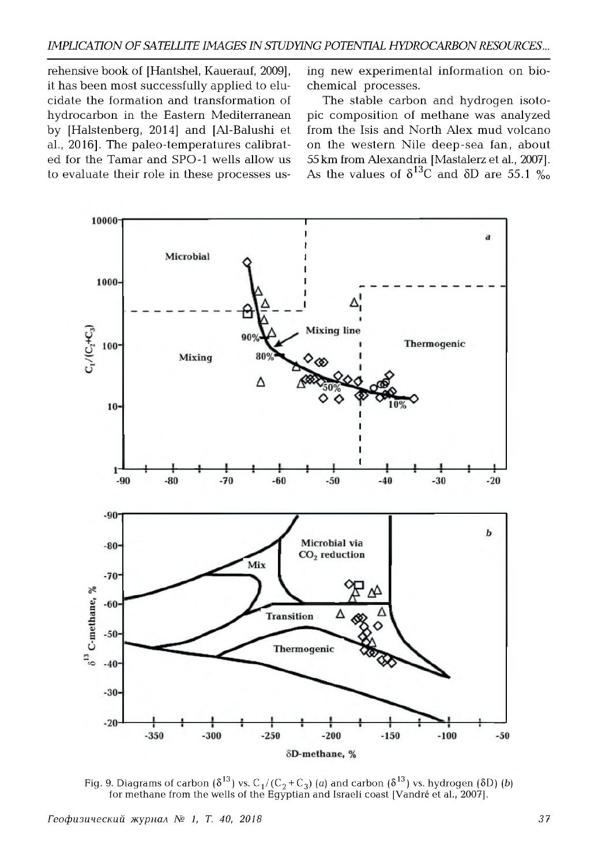rehensive book of [Hantshel, Kauerauf, 2009], it has been most successfully applied to elucidate the formation and transformation of hydrocarbon in the Eastern Mediterranean by [Halstenberg, 2014] and [Al-Balushi et al., 2016]. The paleo-tem peratures calibrated for the Tamar and SPO-1 wells allow us to evaluate their role in these processes using new experimental information on biochemical processes.

The stable carbon and hydrogen isotopic composition of methane was analyzed from the Isis and North Alex mud volcano on the western Nile deep-sea fan, about 55 km from Alexandria [Mastalerz et al., 2007]. As the values of  $\delta^{13}$ C and  $\delta$ D are 55.1 %



Fig. 9. Diagrams of carbon  $(\delta^{13})$  vs.  $C_1 / (C_2 + C_3)$  (*a*) and carbon  $(\delta^{13})$  vs. hydrogen  $(\delta D)$  (*b*) for methane from the wells of the Egyptian and Israeli coast [Vandré et al., 2007]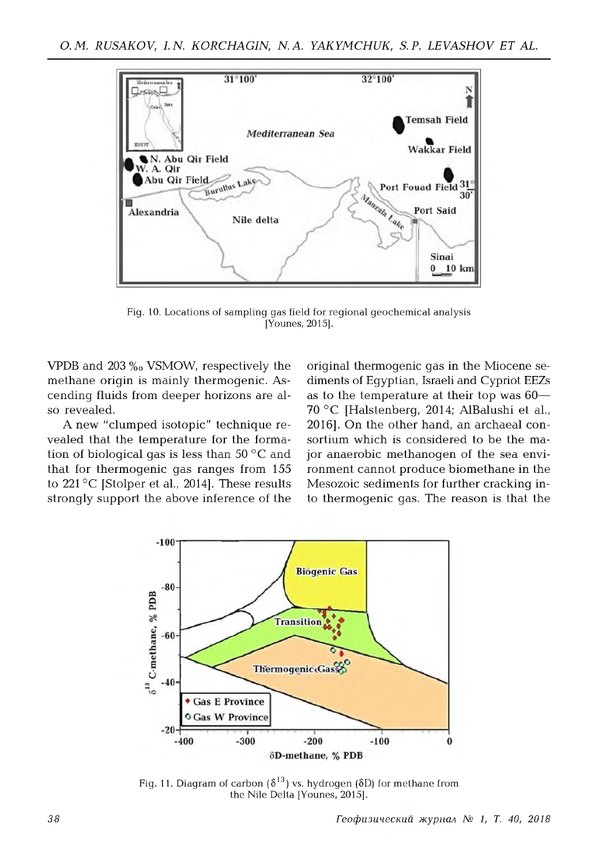

Fig. 10. Locations of sampling gas field for regional geochemical analysis [Younes, 2015].

VPDB and  $203\%$  VSMOW, respectively the methane origin is mainly thermogenic. Ascending fluids from deeper horizons are also revealed.

A new "clum ped isotopic" technique revealed that the temperature for the formation of biological gas is less than 50 °C and that for thermogenic gas ranges from 155 to 221 °C [Stolper et al., 2014]. These results strongly support the above inference of the

original thermogenic gas in the Miocene sediments of Egyptian, Israeli and Cypriot EEZs as to the temperature at their top was  $60-$ 70 °C [Halstenberg, 2014; AlBalushi et al., 2016]. On the other hand, an archaeal consortium which is considered to be the major anaerobic methanogen of the sea environment cannot produce biomethane in the Mesozoic sediments for further cracking into therm ogenic gas. The reason is that the



Fig. 11. Diagram of carbon  $\{\delta^{13}\}$  vs. hydrogen  $\{\delta D\}$  for methane from the Nile Delta [Younes, 2015].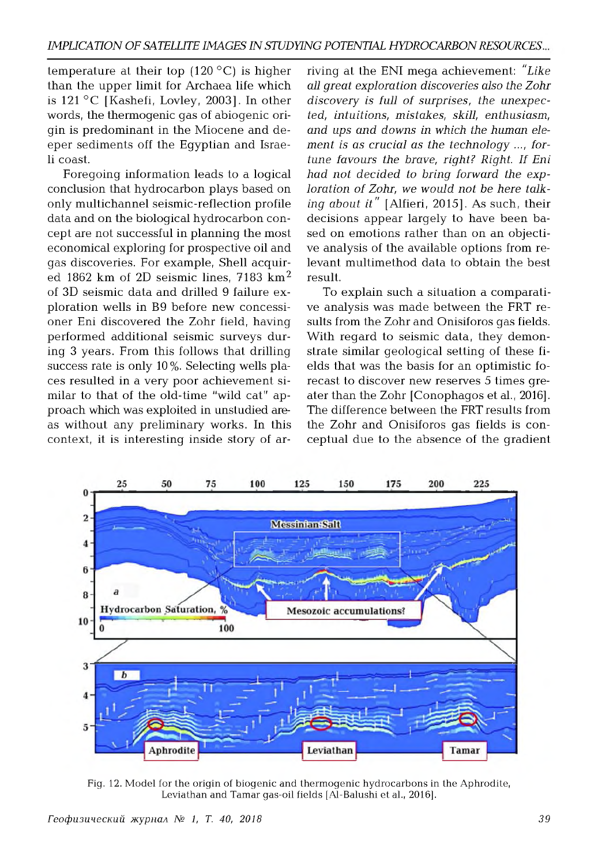temperature at their top  $(120\degree C)$  is higher than the upper limit for Archaea life which is  $121 °C$  [Kashefi, Lovley, 2003]. In other words, the thermogenic gas of abiogenic origin is predominant in the Miocene and deeper sediments off the Eqyptian and Israeli coast.

Foregoing information leads to a logical conclusion that hydrocarbon plays based on only multichannel seismic-reflection profile data and on the biological hydrocarbon concept are not successful in planning the most econom ical exploring for prospective oil and gas discoveries. For example, Shell acquired 1862 km of 2D seismic lines, 7183 km<sup>2</sup> of 3D seismic data and drilled 9 failure exploration wells in B9 before new concessioner Eni discovered the Zohr field, having perform ed additional seismic surveys during 3 years. From this follows that drilling success rate is only 10%. Selecting wells places resulted in a very poor achievement similar to that of the old-time "wild cat" approach which was exploited in unstudied areas without any preliminary works. In this context, it is interesting inside story of ar-

riving at the ENI mega achievement: *"Like all great exploration discoveries also the Zohr* discovery is full of surprises, the unexpec*ted, intuitions, m istakes, skill, enthusiasm, and ups and downs in which the human ele*ment is as crucial as the technology ..., for*tune favours the brave, right? Right. If Eni had not decided to bring forward the exp*  loration of Zohr, we would not be here talk*ing about it*" [Alfieri, 2015]. As such, their decisions appear largely to have been based on emotions rather than on an objective analysis of the available options from relevant multimethod data to obtain the best result.

To explain such a situation a comparative analysis was made between the FRT results from the Zohr and Onisiforos gas fields. With regard to seismic data, they demonstrate similar geological setting of these fields that was the basis for an optimistic forecast to discover new reserves 5 times greater than the Zohr [Conophagos et al., 2016]. The difference between the FRT results from the Zohr and Onisiforos gas fields is conceptual due to the absence of the gradient



Fig. 12. Model for the origin of biogenic and thermogenic hydrocarbons in the Aphrodite, Leviathan and Tamar gas-oil fields [Al-Balushi et al., 2016].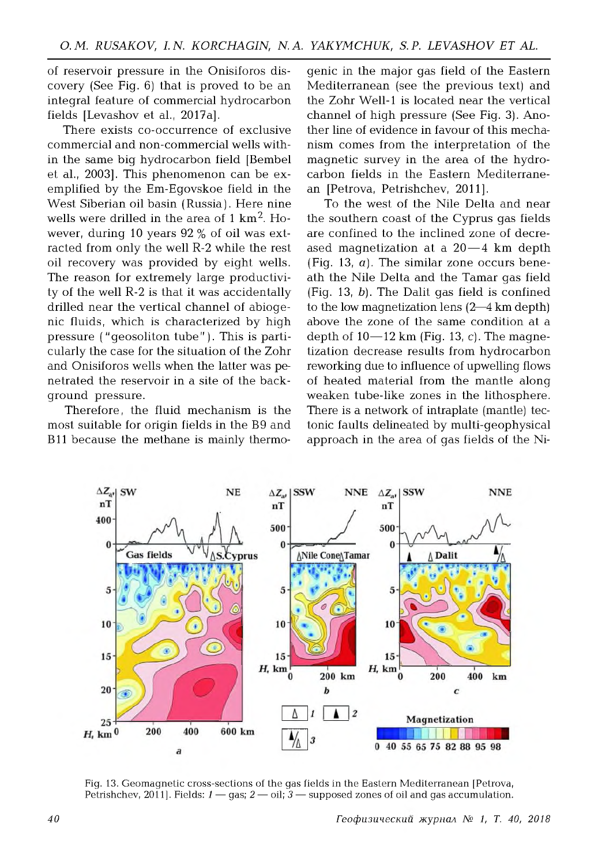of reservoir pressure in the Onisiforos discovery (See Fig.  $6$ ) that is proved to be an integral feature of commercial hydrocarbon fields [Levashov et al., 2017a].

There exists co-occurrence of exclusive commercial and non-commercial wells within the same big hydrocarbon field [Bembel et al., 2003]. This phenomenon can be exem plified by the Em-Egovskoe field in the West Siberian oil basin (Russia). Here nine wells were drilled in the area of  $1 \text{ km}^2$ . However, during 10 years 92 % of oil was extracted from only the well R-2 while the rest oil recovery was provided by eight wells. The reason for extremely large productivity of the well R-2 is that it was accidentally drilled near the vertical channel of abiogenic fluids, which is characterized by high pressure ("geosoliton tube"). This is particularly the case for the situation of the Zohr and Onisiforos wells when the latter was penetrated the reservoir in a site of the background pressure.

Therefore, the fluid mechanism is the m ost suitable for origin fields in the B9 and B11 because the methane is mainly thermogenic in the major gas field of the Eastern Mediterranean (see the previous text) and the Zohr Well-1 is located near the vertical channel of high pressure (See Fig. 3). Another line of evidence in favour of this mechanism comes from the interpretation of the magnetic survey in the area of the hydrocarbon fields in the Eastern Mediterranean [Petrova, Petrishchev, 2011].

To the west of the Nile Delta and near the southern coast of the Cyprus gas fields are confined to the inclined zone of decreased magnetization at a  $20-4$  km depth (Fig. 13,  $\alpha$ ). The similar zone occurs beneath the Nile Delta and the Tamar gas field (Fig. 13, b). The Dalit gas field is confined to the low magnetization lens (2—4 km depth) above the zone of the same condition at a depth of  $10-12$  km (Fig. 13, c). The magnetization decrease results from hydrocarbon reworking due to influence of upwelling flows of heated material from the mantle along w eaken tube-like zones in the lithosphere. There is a network of intraplate (mantle) tectonic faults delineated by multi-qeophysical approach in the area of gas fields of the Ni-



Fig. 13. Geomagnetic cross-sections of the gas fields in the Eastern Mediterranean [Petrova, Petrishchev, 2011]. Fields: *1* — gas; *2* — oil; *3* — supposed zones of oil and gas accumulation.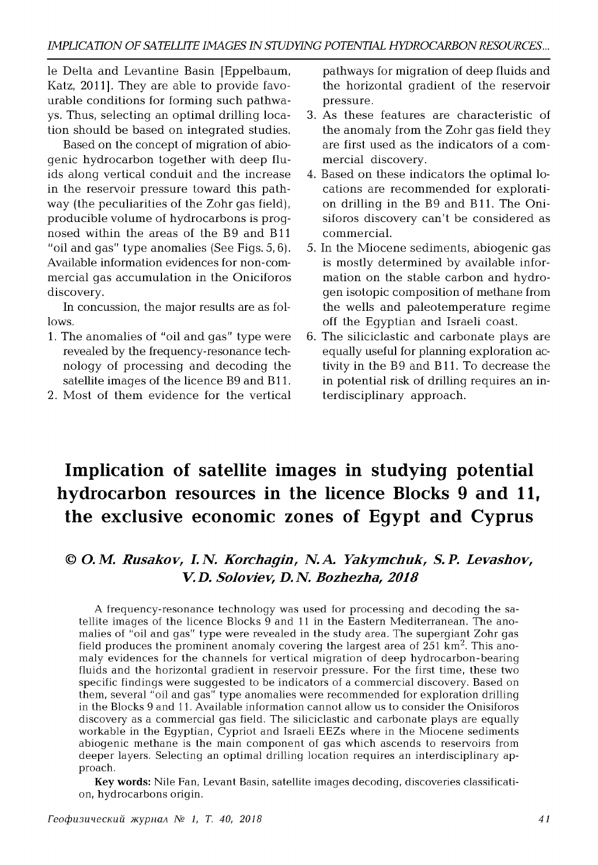le Delta and Levantine Basin [Eppelbaum, Katz, 2011]. They are able to provide favourable conditions for forming such pathways. Thus, selecting an optimal drilling location should be based on integrated studies.

Based on the concept of migration of abiogenic hydrocarbon together with deep fluids along vertical conduit and the increase in the reservoir pressure toward this pathway (the peculiarities of the Zohr gas field), producible volume of hydrocarbons is proqnosed within the areas of the B9 and B11 "oil and gas" type anomalies (See Figs.  $5, 6$ ). Available information evidences for non-commercial gas accumulation in the Oniciforos discovery.

In concussion, the major results are as follows.

- 1. The anomalies of "oil and gas" type were revealed by the frequency-resonance technology of processing and decoding the satellite images of the licence B9 and B11.
- 2. Most of them evidence for the vertical

pathways for migration of deep fluids and the horizontal gradient of the reservoir pressure.

- 3. As these features are characteristic of the anomaly from the Zohr gas field they are first used as the indicators of a com mercial discovery.
- 4. Based on these indicators the optimal locations are recommended for exploration drilling in the B9 and B11. The Onisiforos discovery can 't be considered as commercial.
- 5. In the Miocene sediments, abiogenic gas is mostly determined by available information on the stable carbon and hydrogen isotopic composition of methane from the wells and paleotemperature regime off the Egyptian and Israeli coast.
- <sup>6</sup> . The siliciclastic and carbonate plays are equally useful for planning exploration activity in the B9 and B11. To decrease the in potential risk of drilling requires an interdisciplinary approach.

# **Implication of satellite images in studying potential hydrocarbon resources in the licence Blocks 9 and 11, the exclusive economic zones of Egypt and Cyprus**

### **©** *O.M. Rusakov, I.N. Korchagin, N.A. Yakymchuk, S. P. Levashov, V. D. Soloviev, D. N. Bozhezha, 2018*

A frequency-resonance technology was used for processing and decoding the satellite images of the licence Blocks 9 and 11 in the Eastern Mediterranean. The anomalies of "oil and gas" type were revealed in the study area. The supergiant Zohr gas field produces the prominent anomaly covering the largest area of  $251 \text{ km}^2$ . This anomaly evidences for the channels for vertical migration of deep hydrocarbon-bearing fluids and the horizontal gradient in reservoir pressure. For the first time, these two specific findings were suggested to be indicators of a commercial discovery. Based on them, several "oil and gas" type anomalies were recommended for exploration drilling in the Blocks 9 and 11. Available information cannot allow us to consider the Onisiforos discovery as a commercial gas field. The siliciclastic and carbonate plays are equally workable in the Egyptian, Cypriot and Israeli EEZs where in the Miocene sediments abiogenic methane is the main component of gas which ascends to reservoirs from deeper layers. Selecting an optimal drilling location requires an interdisciplinary approach.

**Key words:** Nile Fan, Levant Basin, satellite images decoding, discoveries classification, hydrocarbons origin.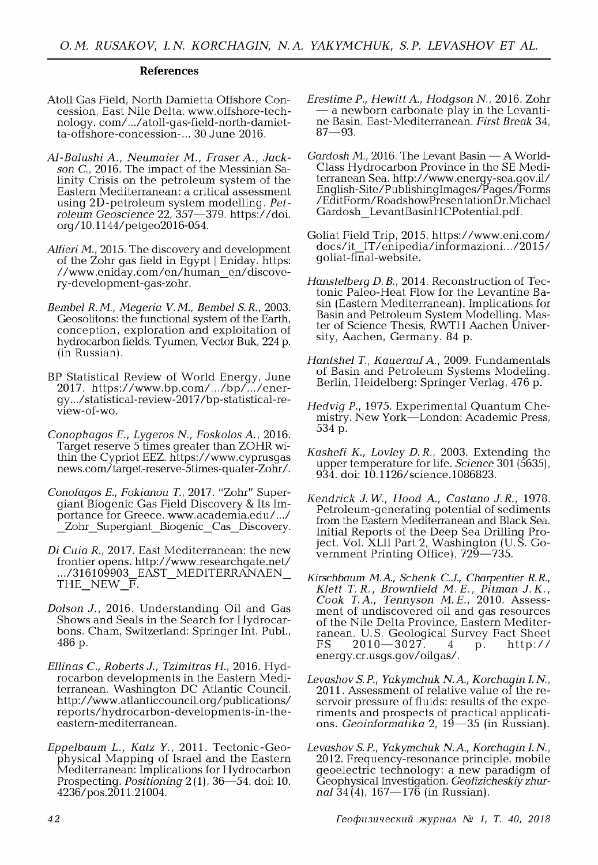#### **References**

- Atoll Gas Field, North Damietta Offshore Concession, East Nile Delta. www.offshore-technology. com/.../atoll-gas-field-north-damietta-offshore-concession-... 30 June 2016.
- *Al-Balushi A., Neumaier M., Fraser A., Jackson C.,* 2016. The impact of the Messinian Salinity Crisis on the petroleum system of the Eastern Mediterranean: a critical assessment using 2D-petroleum system modelling. Pet*roleum Geoscience* 22, 357—379. <https://doi>. org/10.1144/petgeo2016-054.
- *Alfieri M.,* 2015. The discovery and development of the Zohr gas field in Egypt | Eniday. https: //www.eniday.com/en/human\_en/discovery-development-gas-zohr.
- *Bembel R.M., Megeria V.M., Bembel S.R.,* 2003. Geosolitons: the functional system of the Earth, conception, exploration and exploitation of hydrocarbon fields. Tyumen, Vector Buk, 224 p. (in Russian).
- BP Statistical Review of World Energy, June 2017. https://www.bp.com/.../bp/.../energy. . ./statistical-review-2017/bp-statistical-review-of-wo.
- *Conophagos E., Lygeros N., Foskolos* A., 2016. Target reserve 5 times greater than ZOHR within the Cypriot EEZ. <https://www.cyprusgas> news.com/target-reserve-5times-quater-Zohr/.
- *Conofagos E., Fokianou T.,* 2017. "Zohr" Supergiant Biogenic Gas Field Discovery & Its Importance for Greece. [www.academia.edu/.../](http://www.academia.edu/.../)  Zohr Supergiant Biogenic Cas Discovery.
- *Di Cuia R., 2017. East Mediterranean: the new* frontier opens. <http://www.researchgate.net/> .../316109903\_EAST\_MEDITERRANAEN\_ THE NEW  $\overline{F}$ .
- *Dolson J.,* 2016. Understanding Oil and Gas Shows and Seals in the Search for Hydrocarbons. Cham, Switzerland: Springer Int. Publ., 486 p.
- *Ellinas C., Roberts J., Tzimitras H.,* 2016. Hydrocarbon developments in the Eastern Mediterranean. Washington DC Atlantic Council. <http://www.atlanticcouncil.org/publications/> reports/hydrocarbon-developments-in-theeastern-mediterranean.
- *Eppelbaum L., Katz Y.,* 2011. Tectonic-Geophysical Mapping of Israel and the Eastern Mediterranean: Implications for Hydrocarbon Prospecting. *Positioning* 2(1), 36—54. doi: 10. 4236/pos.2011.21004.
- *Erestime P., Hewitt A., Hodgson N.,* 2016. Zohr — a newborn carbonate play in the Levantine Basin, East-Mediterranean. *First Break* 34, 87—93.
- *Gardosh M.,* 2016. The Levant Basin A World-Class Hydrocarbon Province in the SE Mediterranean Sea. <http://www.energy-sea.gov.il/> English-Site/PublishingImages/Pages/Forms /EditForm/RoadshowPresentationDr.Michael Gardosh\_LevantBasinHCPotential.pdf.
- Goliat Field Trip, 2015. https://www.eni.com/ docs/it\_IT /enipedia/inform azioni.../2015/ goliat-final-website.
- *Hanstelberg D.B.,* 2014. Reconstruction of Tectonic Paleo-Heat Flow for the Levantine Basin (Eastern Mediterranean). Implications for Basin and Petroleum System Modelling. Master of Science Thesis, RWTH Aachen University, Aachen, Germany. 84 p.
- *Hantshel T., Kauerauf* A., 2009. Fundamentals of Basin and Petroleum Systems Modeling. Berlin, Heidelberg: Springer Verlag, 476 p.
- *Hedvig P.,* 1975. Experimental Quantum Chemistry. New York—London: Academic Press, 534 p.
- *Kashefi K., Lovley D.R.,* 2003. Extending the upper temperature for life. *Science* 301 (5635), 934. doi: 10.1126/science.1086823.
- *Kendrick J.W., Hood A., Castano J.R.,* 1978. Petroleum-generating potential of sediments from the Eastern Mediterranean and Black Sea. Initial Reports of the Deep Sea Drilling Project. Vol. XLII Part 2, Washington (U.S. Government Printing Office), 729—735.
- *Kirschbaum M.A., Schenk C.J., Charpentier R.R., Klett T.R., Brownfield M.E., Pitman J.K., Cook T.A., Tennyson M.E.,* 2010. Assessment of undiscovered oil and gas resources of the Nile Delta Province, Eastern Mediterranean. U.S. Geological Survey Fact Sheet<br>FS 2010—3027. 4 p. http://  $2010 - 3027$ . 4 p. http:// energy.cr.usgs.gov/oilgas/.
- *Levashov S. P., Yakymchuk N. A., Korchagin I. N.*, 2011. Assessment of relative value of the reservoir pressure of fluids: results of the experiments and prospects of practical applications. *Geoinformatika* 2, 19—35 (in Russian).
- *Levashov S. P., Yakymchuk N. A., Korchagin I. N.*, 2012. Frequency-resonance principle, mobile geoelectric technology: a new paradigm of Geophysical Investigation. *Geofizicheskiy zhurnal* 34(4), 167— 176 (in Russian).

*42 Геофизический журнал № 1, T. 40, 2018*